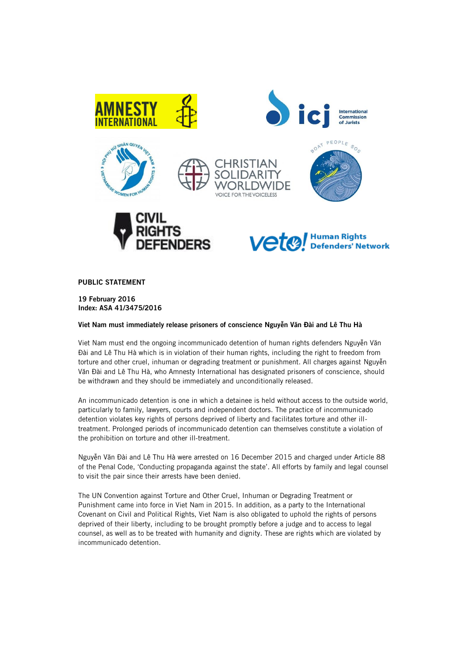

**PUBLIC STATEMENT**

**19 February 2016 Index: ASA 41/3475/2016**

**Viet Nam must immediately release prisoners of conscience Nguyễn Văn Đài and Lê Thu Hà**

Viet Nam must end the ongoing incommunicado detention of human rights defenders Nguyễn Văn Đài and Lê Thu Hà which is in violation of their human rights, including the right to freedom from torture and other cruel, inhuman or degrading treatment or punishment. All charges against Nguyễn Văn Đài and Lê Thu Hà, who Amnesty International has designated prisoners of conscience, should be withdrawn and they should be immediately and unconditionally released.

An incommunicado detention is one in which a detainee is held without access to the outside world, particularly to family, lawyers, courts and independent doctors. The practice of incommunicado detention violates key rights of persons deprived of liberty and facilitates torture and other illtreatment. Prolonged periods of incommunicado detention can themselves constitute a violation of the prohibition on torture and other ill-treatment.

Nguyễn Văn Đài and Lê Thu Hà were arrested on 16 December 2015 and charged under Article 88 of the Penal Code, 'Conducting propaganda against the state'. All efforts by family and legal counsel to visit the pair since their arrests have been denied.

The UN Convention against Torture and Other Cruel, Inhuman or Degrading Treatment or Punishment came into force in Viet Nam in 2015. In addition, as a party to the International Covenant on Civil and Political Rights, Viet Nam is also obligated to uphold the rights of persons deprived of their liberty, including to be brought promptly before a judge and to access to legal counsel, as well as to be treated with humanity and dignity. These are rights which are violated by incommunicado detention.